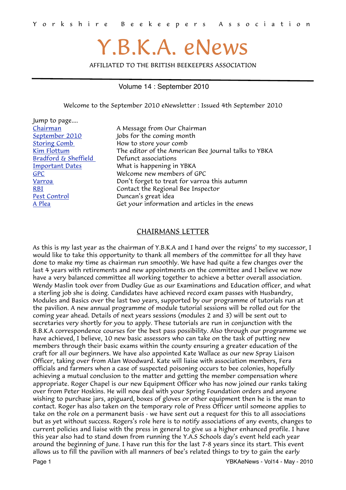# Y.B.K.A. eNews

AFFILIATED TO THE BRITISH BEEKEEPERS ASSOCIATION

#### Volume 14 : September 2010

<span id="page-0-1"></span>Welcome to the September 2010 eNewsletter : Issued 4th September 2010

| A Message from Our Chairman                          |
|------------------------------------------------------|
| Jobs for the coming month                            |
| How to store your comb                               |
| The editor of the American Bee Journal talks to YBKA |
| Defunct associations                                 |
| What is happening in YBKA                            |
| Welcome new members of GPC                           |
| Don't forget to treat for varroa this autumn         |
| Contact the Regional Bee Inspector                   |
| Duncan's great idea                                  |
| Get your information and articles in the enews       |
|                                                      |

#### <span id="page-0-0"></span>CHAIRMANS LETTER

As this is my last year as the chairman of Y.B.K.A and I hand over the reigns' to my successor, I would like to take this opportunity to thank all members of the committee for all they have done to make my time as chairman run smoothly. We have had quite a few changes over the last 4 years with retirements and new appointments on the committee and I believe we now have a very balanced committee all working together to achieve a better overall association. Wendy Maslin took over from Dudley Gue as our Examinations and Education officer, and what a sterling job she is doing. Candidates have achieved record exam passes with Husbandry, Modules and Basics over the last two years, supported by our programme of tutorials run at the pavilion. A new annual programme of module tutorial sessions will be rolled out for the coming year ahead. Details of next years sessions (modules 2 and 3) will be sent out to secretaries very shortly for you to apply. These tutorials are run in conjunction with the B.B.K.A correspondence courses for the best pass possibility. Also through our programme we have achieved, I believe, 10 new basic assessors who can take on the task of putting new members through their basic exams within the county ensuring a greater education of the craft for all our beginners. We have also appointed Kate Wallace as our new Spray Liaison Officer, taking over from Alan Woodward. Kate will liaise with association members, Fera officials and farmers when a case of suspected poisoning occurs to bee colonies, hopefully achieving a mutual conclusion to the matter and getting the member compensation where appropriate. Roger Chapel is our new Equipment Officer who has now joined our ranks taking over from Peter Hoskins. He will now deal with your Spring Foundation orders and anyone wishing to purchase jars, apiguard, boxes of gloves or other equipment then he is the man to contact. Roger has also taken on the temporary role of Press Officer until someone applies to take on the role on a permanent basis - we have sent out a request for this to all associations but as yet without success. Rogers's role here is to notify associations of any events, changes to current policies and liaise with the press in general to give us a higher enhanced profile. I have this year also had to stand down from running the Y.A.S Schools day's event held each year around the beginning of June. I have run this for the last 7-8 years since its start. This event allows us to fill the pavilion with all manners of bee's related things to try to gain the early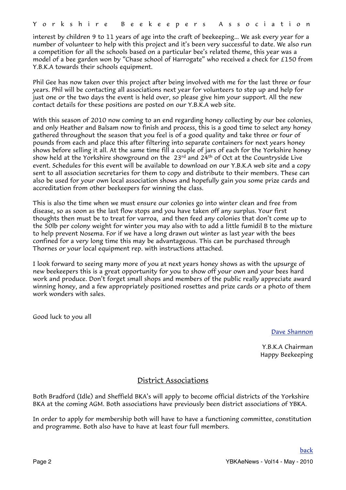interest by children 9 to 11 years of age into the craft of beekeeping... We ask every year for a number of volunteer to help with this project and it's been very successful to date. We also run a competition for all the schools based on a particular bee's related theme, this year was a model of a bee garden won by "Chase school of Harrogate" who received a check for £150 from Y.B.K.A towards their schools equipment.

Phil Gee has now taken over this project after being involved with me for the last three or four years. Phil will be contacting all associations next year for volunteers to step up and help for just one or the two days the event is held over, so please give him your support. All the new contact details for these positions are posted on our Y.B.K.A web site.

With this season of 2010 now coming to an end regarding honey collecting by our bee colonies, and only Heather and Balsam now to finish and process, this is a good time to select any honey gathered throughout the season that you feel is of a good quality and take three or four of pounds from each and place this after filtering into separate containers for next years honey shows before selling it all. At the same time fill a couple of jars of each for the Yorkshire honey show held at the Yorkshire showground on the  $23<sup>rd</sup>$  and  $24<sup>th</sup>$  of Oct at the Countryside Live event. Schedules for this event will be available to download on our Y.B.K.A web site and a copy sent to all association secretaries for them to copy and distribute to their members. These can also be used for your own local association shows and hopefully gain you some prize cards and accreditation from other beekeepers for winning the class.

This is also the time when we must ensure our colonies go into winter clean and free from disease, so as soon as the last flow stops and you have taken off any surplus. Your first thoughts then must be to treat for varroa, and then feed any colonies that don't come up to the 50lb per colony weight for winter you may also with to add a little fumidil B to the mixture to help prevent Nosema. For if we have a long drawn out winter as last year with the bees confined for a very long time this may be advantageous. This can be purchased through Thornes or your local equipment rep. with instructions attached.

I look forward to seeing many more of you at next years honey shows as with the upsurge of new beekeepers this is a great opportunity for you to show off your own and your bees hard work and produce. Don't forget small shops and members of the public really appreciate award winning honey, and a few appropriately positioned rosettes and prize cards or a photo of them work wonders with sales.

Good luck to you all

[Dave Shannon](mailto:dave_aca@tiscali.co.uk?subject=YBKA%20Chairman)

Y.B.K.A Chairman Happy Beekeeping

#### <span id="page-1-0"></span>District Associations

Both Bradford (Idle) and Sheffield BKA's will apply to become official districts of the Yorkshire BKA at the coming AGM. Both associations have previously been district associations of YBKA.

In order to apply for membership both will have to have a functioning committee, constitution and programme. Both also have to have at least four full members.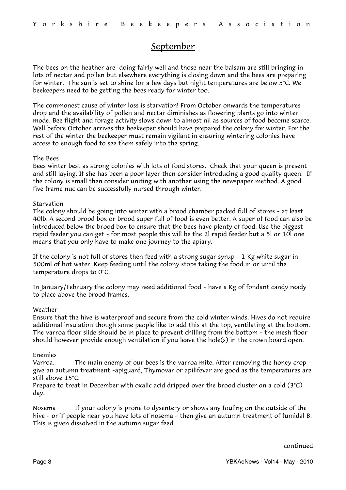### <span id="page-2-0"></span>September

The bees on the heather are doing fairly well and those near the balsam are still bringing in lots of nectar and pollen but elsewhere everything is closing down and the bees are preparing for winter. The sun is set to shine for a few days but night temperatures are below 5°C. We beekeepers need to be getting the bees ready for winter too.

The commonest cause of winter loss is starvation! From October onwards the temperatures drop and the availability of pollen and nectar diminishes as flowering plants go into winter mode. Bee flight and forage activity slows down to almost nil as sources of food become scarce. Well before October arrives the beekeeper should have prepared the colony for winter. For the rest of the winter the beekeeper must remain vigilant in ensuring wintering colonies have access to enough food to see them safely into the spring.

#### The Bees

Bees winter best as strong colonies with lots of food stores. Check that your queen is present and still laying. If she has been a poor layer then consider introducing a good quality queen. If the colony is small then consider uniting with another using the newspaper method. A good five frame nuc can be successfully nursed through winter.

#### Starvation

The colony should be going into winter with a brood chamber packed full of stores – at least 40lb. A second brood box or brood super full of food is even better. A super of food can also be introduced below the brood box to ensure that the bees have plenty of food. Use the biggest rapid feeder you can get – for most people this will be the 2l rapid feeder but a 5l or 10l one means that you only have to make one journey to the apiary.

If the colony is not full of stores then feed with a strong sugar syrup – 1 Kg white sugar in 500ml of hot water. Keep feeding until the colony stops taking the food in or until the temperature drops to 0°C.

In January/February the colony may need additional food – have a Kg of fondant candy ready to place above the brood frames.

#### Weather

Ensure that the hive is waterproof and secure from the cold winter winds. Hives do not require additional insulation though some people like to add this at the top, ventilating at the bottom. The varroa floor slide should be in place to prevent chilling from the bottom – the mesh floor should however provide enough ventilation if you leave the hole(s) in the crown board open.

#### Enemies

Varroa. The main enemy of our bees is the varroa mite. After removing the honey crop give an autumn treatment –apiguard, Thymovar or apilifevar are good as the temperatures are still above 15°C.

Prepare to treat in December with oxalic acid dripped over the brood cluster on a cold  $(3^{\circ}C)$ day.

Nosema If your colony is prone to dysentery or shows any fouling on the outside of the hive – or if people near you have lots of nosema – then give an autumn treatment of fumidal B. This is given dissolved in the autumn sugar feed.

continued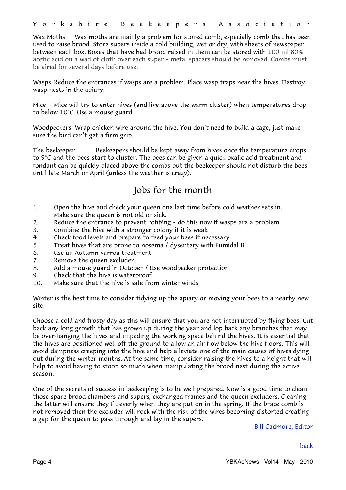Wax Moths Wax moths are mainly a problem for stored comb, especially comb that has been used to raise brood. Store supers inside a cold building, wet or dry, with sheets of newspaper between each box. Boxes that have had brood raised in them can be stored with 100 ml 80% acetic acid on a wad of cloth over each super – metal spacers should be removed. Combs must be aired for several days before use.

Wasps Reduce the entrances if wasps are a problem. Place wasp traps near the hives. Destroy wasp nests in the apiary.

Mice Mice will try to enter hives (and live above the warm cluster) when temperatures drop to below 10°C. Use a mouse guard.

Woodpeckers Wrap chicken wire around the hive. You don't need to build a cage, just make sure the bird can't get a firm grip.

The beekeeper Beekeepers should be kept away from hives once the temperature drops to 9°C and the bees start to cluster. The bees can be given a quick oxalic acid treatment and fondant can be quickly placed above the combs but the beekeeper should not disturb the bees until late March or April (unless the weather is crazy).

## Jobs for the month

- 1. Open the hive and check your queen one last time before cold weather sets in. Make sure the queen is not old or sick.
- 2. Reduce the entrance to prevent robbing do this now if wasps are a problem
- 3. Combine the hive with a stronger colony if it is weak
- 4. Check food levels and prepare to feed your bees if necessary
- 5. Treat hives that are prone to nosema / dysentery with Fumidal B
- 6. Use an Autumn varroa treatment
- 7. Remove the queen excluder.
- 8. Add a mouse guard in October / Use woodpecker protection
- 9. Check that the hive is waterproof
- 10. Make sure that the hive is safe from winter winds

Winter is the best time to consider tidying up the apiary or moving your bees to a nearby new site.

Choose a cold and frosty day as this will ensure that you are not interrupted by flying bees. Cut back any long growth that has grown up during the year and lop back any branches that may be over-hanging the hives and impeding the working space behind the hives. It is essential that the hives are positioned well off the ground to allow an air flow below the hive floors. This will avoid dampness creeping into the hive and help alleviate one of the main causes of hives dying out during the winter months. At the same time, consider raising the hives to a height that will help to avoid having to stoop so much when manipulating the brood nest during the active season.

One of the secrets of success in beekeeping is to be well prepared. Now is a good time to clean those spare brood chambers and supers, exchanged frames and the queen excluders. Cleaning the latter will ensure they fit evenly when they are put on in the spring. If the brace comb is not removed then the excluder will rock with the risk of the wires becoming distorted creating a gap for the queen to pass through and lay in the supers.

[Bill Cadmore, Editor](mailto:ybkanews@ntlworld.com?subject=eNewsletter)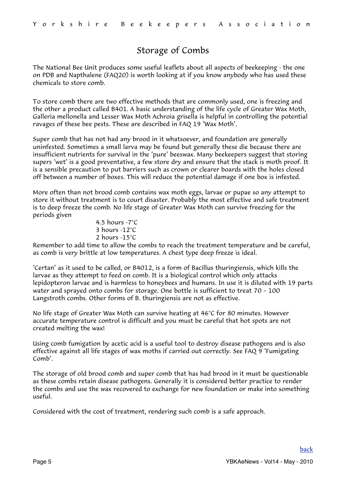# <span id="page-4-0"></span>Storage of Combs

The National Bee Unit produces some useful leaflets about all aspects of beekeeping - the one on PDB and Napthalene (FAQ20) is worth looking at if you know anybody who has used these chemicals to store comb.

To store comb there are two effective methods that are commonly used, one is freezing and the other a product called B401. A basic understanding of the life cycle of Greater Wax Moth, Galleria mellonella and Lesser Wax Moth Achroia grisella is helpful in controlling the potential ravages of these bee pests. These are described in FAQ 19 'Wax Moth'.

Super comb that has not had any brood in it whatsoever, and foundation are generally uninfested. Sometimes a small larva may be found but generally these die because there are insufficient nutrients for survival in the 'pure' beeswax. Many beekeepers suggest that storing supers 'wet' is a good preventative, a few store dry and ensure that the stack is moth proof. It is a sensible precaution to put barriers such as crown or clearer boards with the holes closed off between a number of boxes. This will reduce the potential damage if one box is infested.

More often than not brood comb contains wax moth eggs, larvae or pupae so any attempt to store it without treatment is to court disaster. Probably the most effective and safe treatment is to deep freeze the comb. No life stage of Greater Wax Moth can survive freezing for the periods given

> 4.5 hours -7°C 3 hours -12°C 2 hours -15°C

Remember to add time to allow the combs to reach the treatment temperature and be careful, as comb is very brittle at low temperatures. A chest type deep freeze is ideal.

'Certan' as it used to be called, or B4012, is a form of Bacillus thuringiensis, which kills the larvae as they attempt to feed on comb. It is a biological control which only attacks lepidopteron larvae and is harmless to honeybees and humans. In use it is diluted with 19 parts water and sprayed onto combs for storage. One bottle is sufficient to treat 70 – 100 Langstroth combs. Other forms of B. thuringiensis are not as effective.

No life stage of Greater Wax Moth can survive heating at 46°C for 80 minutes. However accurate temperature control is difficult and you must be careful that hot spots are not created melting the wax!

Using comb fumigation by acetic acid is a useful tool to destroy disease pathogens and is also effective against all life stages of wax moths if carried out correctly. See FAQ 9 'Fumigating Comb'.

The storage of old brood comb and super comb that has had brood in it must be questionable as these combs retain disease pathogens. Generally it is considered better practice to render the combs and use the wax recovered to exchange for new foundation or make into something useful.

Considered with the cost of treatment, rendering such comb is a safe approach.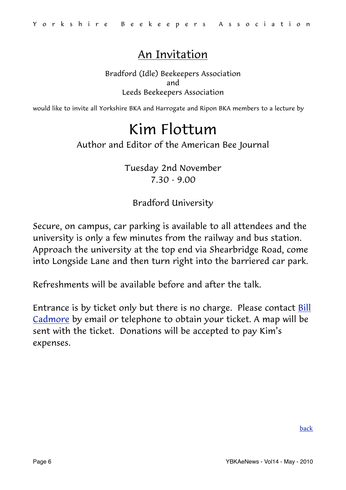# An Invitation

Bradford (Idle) Beekeepers Association and Leeds Beekeepers Association

would like to invite all Yorkshire BKA and Harrogate and Ripon BKA members to a lecture by

# <span id="page-5-0"></span>Kim Flottum

### Author and Editor of the American Bee Journal

Tuesday 2nd November 7.30 - 9.00

Bradford University

Secure, on campus, car parking is available to all attendees and the university is only a few minutes from the railway and bus station. Approach the university at the top end via Shearbridge Road, come into Longside Lane and then turn right into the barriered car park.

Refreshments will be available before and after the talk.

Entrance is by ticket only but there is no charge. Please contact [Bill](mailto:bill.cadmore@ntlworld.com?subject=Kim%20Flottum)  [Cadmore](mailto:bill.cadmore@ntlworld.com?subject=Kim%20Flottum) by email or telephone to obtain your ticket. A map will be sent with the ticket. Donations will be accepted to pay Kim's expenses.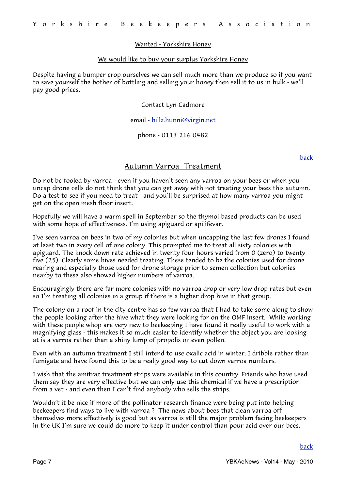#### Wanted - Yorkshire Honey

#### We would like to buy your surplus Yorkshire Honey

Despite having a bumper crop ourselves we can sell much more than we produce so if you want to save yourself the bother of bottling and selling your honey then sell it to us in bulk - we'll pay good prices.

#### Contact Lyn Cadmore

#### email - [billz.hunni@virgin.net](mailto:billz.hunni@virgin.net?subject=Yorkshire%20Honey%20Purchased)

#### phone - 0113 216 0482

[back](#page-0-1)

#### <span id="page-6-0"></span>Autumn Varroa Treatment

Do not be fooled by varroa - even if you haven't seen any varroa on your bees or when you uncap drone cells do not think that you can get away with not treating your bees this autumn. Do a test to see if you need to treat - and you'll be surprised at how many varroa you might get on the open mesh floor insert.

Hopefully we will have a warm spell in September so the thymol based products can be used with some hope of effectiveness. I'm using apiguard or apilifevar.

I've seen varroa on bees in two of my colonies but when uncapping the last few drones I found at least two in every cell of one colony. This prompted me to treat all sixty colonies with apiguard. The knock down rate achieved in twenty four hours varied from 0 (zero) to twenty five (25). Clearly some hives needed treating. These tended to be the colonies used for drone rearing and especially those used for drone storage prior to semen collection but colonies nearby to these also showed higher numbers of varroa.

Encouragingly there are far more colonies with no varroa drop or very low drop rates but even so I'm treating all colonies in a group if there is a higher drop hive in that group.

The colony on a roof in the city centre has so few varroa that I had to take some along to show the people looking after the hive what they were looking for on the OMF insert. While working with these people whop are very new to beekeeping I have found it really useful to work with a magnifying glass - this makes it so much easier to identify whether the object you are looking at is a varroa rather than a shiny lump of propolis or even pollen.

Even with an autumn treatment I still intend to use oxalic acid in winter. I dribble rather than fumigate and have found this to be a really good way to cut down varroa numbers.

I wish that the amitraz treatment strips were available in this country. Friends who have used them say they are very effective but we can only use this chemical if we have a prescription from a vet - and even then I can't find anybody who sells the strips.

Wouldn't it be nice if more of the pollinator research finance were being put into helping beekeepers find ways to live with varroa ? The news about bees that clean varroa off themselves more effectively is good but as varroa is still the major problem facing beekeepers in the UK I'm sure we could do more to keep it under control than pour acid over our bees.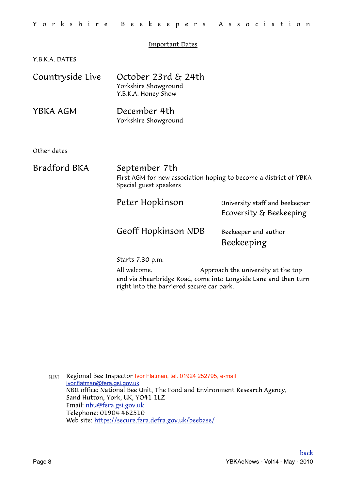#### <span id="page-7-0"></span>Important Dates

Y.B.K.A. DATES

| Countryside Live | October 23rd & 24th<br>Yorkshire Showground<br>Y.B.K.A. Honey Show                                           |                                                           |
|------------------|--------------------------------------------------------------------------------------------------------------|-----------------------------------------------------------|
| YBKA AGM         | December 4th<br>Yorkshire Showground                                                                         |                                                           |
| Other dates      |                                                                                                              |                                                           |
| Bradford BKA     | September 7th<br>First AGM for new association hoping to become a district of YBKA<br>Special guest speakers |                                                           |
|                  | Peter Hopkinson                                                                                              | University staff and beekeeper<br>Ecoversity & Beekeeping |
|                  | Geoff Hopkinson NDB                                                                                          | Beekeeper and author<br>Beekeeping                        |
|                  | Starts 7.30 p.m.                                                                                             |                                                           |
|                  | All <i>anne</i>                                                                                              | Annuacole theo welcough of the top                        |

 All welcome. Approach the university at the top end via Shearbridge Road, come into Longside Lane and then turn right into the barriered secure car park.

<span id="page-7-1"></span>RBI Regional Bee Inspector Ivor Flatman, tel. 01924 252795, e-mail [ivor.flatman@fera.gsi.gov.uk](mailto:ivor.flatman@fera.gsi.gov.uk) NBU office: National Bee Unit, The Food and Environment Research Agency, Sand Hutton, York, UK, YO41 1LZ Email: [nbu@fera.gsi.gov.uk](mailto:nbu@fera.gsi.gov.uk) Telephone: 01904 462510 Web site:<https://secure.fera.defra.gov.uk/beebase/>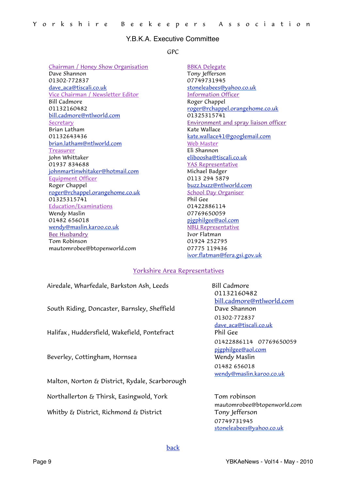#### Y.B.K.A. Executive Committee

#### <span id="page-8-0"></span>GPC

Chairman / Honey Show Organisation Dave Shannon 01302-772837 [dave\\_aca@tiscali.co.uk](mailto:dave_aca@tiscali.co.uk?subject=GPC) Vice Chairman / Newsletter Editor Bill Cadmore 01132160482 [bill.cadmore@ntlworld.com](mailto:bill.cadmore@ntlworld.com) Secretary Brian Latham 01132643436 [brian.latham@ntlworld.com](mailto:brian.latham@ntlworld.com) Treasurer John Whittaker 01937 834688 [johnmartinwhitaker@hotmail.com](mailto:johnmartinwhitaker@hotmail.com) Equipment Officer Roger Chappel [roger@rchappel.orangehome.co.uk](mailto:roger@rchappel.orangehome.co.uk) 01325315741 Education/Examinations Wendy Maslin 01482 656018 [wendy@maslin.karoo.co.uk](mailto:wendy@maslin.karoo.co.uk) Bee Husbandry Tom Robinson mautomrobee@btopenworld.com

BBKA Delegate Tony Jefferson 07749731945 [stoneleabees@yahoo.co.uk](mailto:stoneleabees@yahoo.co.uk) Information Officer Roger Chappel [roger@rchappel.orangehome.co.uk](mailto:roger@rchappel.orangehome.co.uk) 01325315741 Environment and spray liaison officer Kate Wallace [kate.wallace41@googlemail.com](mailto:kate.wallace41@googlemail.com) Web Master Eli Shannon [eliboosha@tiscali.co.uk](mailto:eliboosha@tiscali.co.uk) YAS Representative Michael Badger 0113 294 5879 [buzz.buzz@ntlworld.com](mailto:buzz.buzz@ntlworld.com) School Day Organiser Phil Gee 01422886114 07769650059 [pjgphilgee@aol.com](mailto:pjgphilgee@aol.com) NBU Representative Ivor Flatman 01924 252795 07775 119436 [ivor.flatman@fera.gsi.gov.uk](mailto:ivor.flatman@fera.gsi.gov.uk)

#### Yorkshire Area Representatives

Airedale, Wharfedale, Barkston Ash, Leeds Bill Cadmore South Riding, Doncaster, Barnsley, Sheffield Dave Shannon Halifax , Huddersfield, Wakefield, Pontefract Phil Gee Beverley, Cottingham, Hornsea Wendy Maslin Malton, Norton & District, Rydale, Scarborough Northallerton  $\epsilon_f$  Thirsk, Easingwold, York Tom robinson

 01132160482 [bill.cadmore@ntlworld.com](mailto:bill.cadmore@ntlworld.com) 01302-772837 [dave\\_aca@tiscali.co.uk](mailto:dave_aca@tiscali.co.uk?subject=GPC) 01422886114 07769650059 [pjgphilgee@aol.com](mailto:pjgphilgee@aol.com) 01482 656018 [wendy@maslin.karoo.co.uk](mailto:wendy@maslin.karoo.co.uk)

 mautomrobee@btopenworld.com Whitby  $\&$  District, Richmond  $&$  District Tony Jefferson 07749731945 [stoneleabees@yahoo.co.uk](mailto:stoneleabees@yahoo.co.uk)